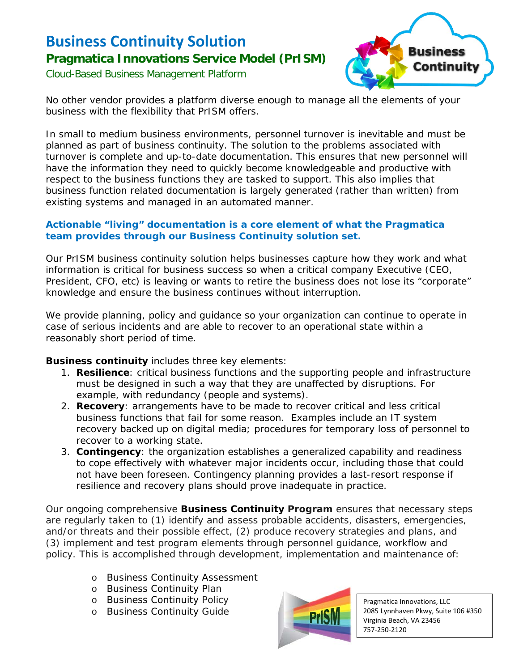## **Business Continuity Solution Pragmatica Innovations Service Model (PrISM)**

Cloud-Based Business Management Platform



No other vendor provides a platform diverse enough to manage all the elements of your business with the flexibility that PrISM offers.

In small to medium business environments, personnel turnover is inevitable and must be planned as part of business continuity. The solution to the problems associated with turnover is complete and up-to-date documentation. This ensures that new personnel will have the information they need to quickly become knowledgeable and productive with respect to the business functions they are tasked to support. This also implies that business function related documentation is largely generated (rather than written) from existing systems and managed in an automated manner.

## **Actionable "living" documentation is a core element of what the Pragmatica team provides through our** *Business Continuity* **solution set.**

Our PrISM business continuity solution helps businesses capture how they work and what information is critical for business success so when a critical company Executive (CEO, President, CFO, etc) is leaving or wants to retire the business does not lose its "corporate" knowledge and ensure the business continues without interruption.

We provide planning, policy and guidance so your organization can continue to operate in case of serious incidents and are able to recover to an operational state within a reasonably short period of time.

## *Business continuity* includes three key elements:

- 1. **Resilience**: critical business functions and the supporting people and infrastructure must be designed in such a way that they are unaffected by disruptions. For example, with redundancy (people and systems).
- 2. **Recovery**: arrangements have to be made to recover critical and less critical business functions that fail for some reason. Examples include an IT system recovery backed up on digital media; procedures for temporary loss of personnel to recover to a working state.
- 3. **Contingency**: the organization establishes a generalized capability and readiness to cope effectively with whatever major incidents occur, including those that could not have been foreseen. Contingency planning provides a last-resort response if resilience and recovery plans should prove inadequate in practice.

Our ongoing comprehensive *Business Continuity Program* ensures that necessary steps are regularly taken to (1) identify and assess probable accidents, disasters, emergencies, and/or threats and their possible effect, (2) produce recovery strategies and plans, and (3) implement and test program elements through personnel guidance, workflow and policy. This is accomplished through development, implementation and maintenance of:

- o Business Continuity Assessment
- o Business Continuity Plan
- o Business Continuity Policy
- o Business Continuity Guide



Pragmatica Innovations, LLC 2085 Lynnhaven Pkwy, Suite 106 #350 Virginia Beach, VA 23456 757-250-2120